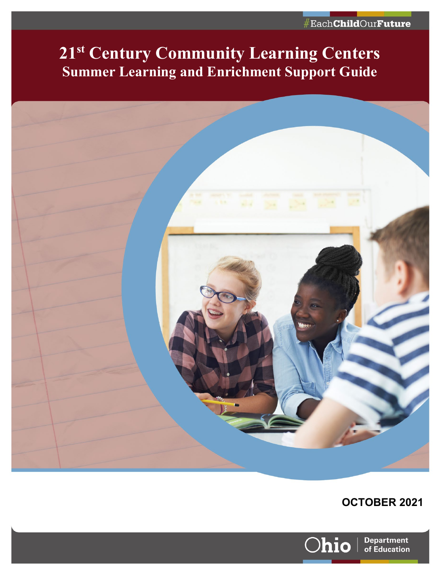# **21st Century Community Learning Centers Summer Learning and Enrichment Support Guide**



**OCTOBER 2021**

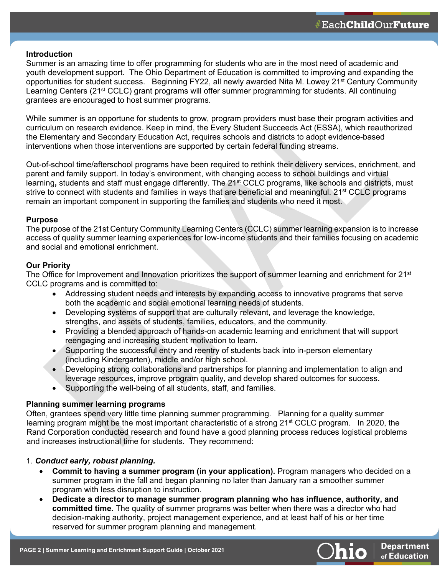# **Introduction**

Summer is an amazing time to offer programming for students who are in the most need of academic and youth development support. The Ohio Department of Education is committed to improving and expanding the opportunities for student success. Beginning FY22, all newly awarded Nita M. Lowey 21st Century Community Learning Centers (21<sup>st</sup> CCLC) grant programs will offer summer programming for students. All continuing grantees are encouraged to host summer programs.

While summer is an opportune for students to grow, program providers must base their program activities and curriculum on research evidence. Keep in mind, the Every Student Succeeds Act (ESSA), which reauthorized the Elementary and Secondary Education Act, requires schools and districts to adopt evidence-based interventions when those interventions are supported by certain federal funding streams.

Out-of-school time/afterschool programs have been required to rethink their delivery services, enrichment, and parent and family support. In today's environment, with changing access to school buildings and virtual learning, students and staff must engage differently. The 21<sup>st</sup> CCLC programs, like schools and districts, must strive to connect with students and families in ways that are beneficial and meaningful. 21<sup>st</sup> CCLC programs remain an important component in supporting the families and students who need it most.

# **Purpose**

The purpose of the 21st Century Community Learning Centers (CCLC) summer learning expansion is to increase access of quality summer learning experiences for low-income students and their families focusing on academic and social and emotional enrichment.

# **Our Priority**

The Office for Improvement and Innovation prioritizes the support of summer learning and enrichment for 21<sup>st</sup> CCLC programs and is committed to:

- Addressing student needs and interests by expanding access to innovative programs that serve both the academic and social emotional learning needs of students.
- Developing systems of support that are culturally relevant, and leverage the knowledge, strengths, and assets of students, families, educators, and the community.
- Providing a blended approach of hands-on academic learning and enrichment that will support reengaging and increasing student motivation to learn.
- Supporting the successful entry and reentry of students back into in-person elementary (including Kindergarten), middle and/or high school.
- Developing strong collaborations and partnerships for planning and implementation to align and leverage resources, improve program quality, and develop shared outcomes for success.
- Supporting the well-being of all students, staff, and families.

# **Planning summer learning programs**

Often, grantees spend very little time planning summer programming. Planning for a quality summer learning program might be the most important characteristic of a strong 21<sup>st</sup> CCLC program. In 2020, the Rand Corporation conducted research and found have a good planning process reduces logistical problems and increases instructional time for students. They recommend:

# 1. *Conduct early, robust planning.*

- **Commit to having a summer program (in your application).** Program managers who decided on a summer program in the fall and began planning no later than January ran a smoother summer program with less disruption to instruction.
- **Dedicate a director to manage summer program planning who has influence, authority, and committed time.** The quality of summer programs was better when there was a director who had decision-making authority, project management experience, and at least half of his or her time reserved for summer program planning and management.

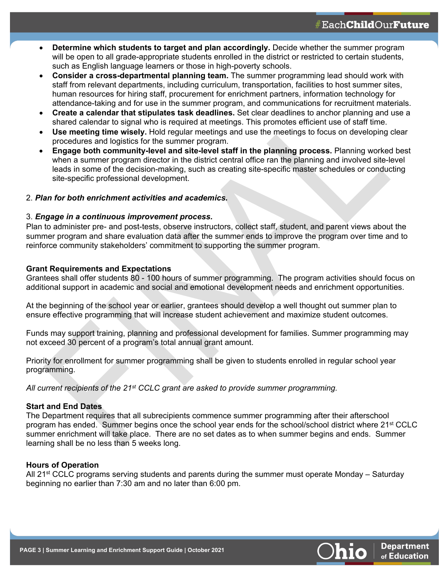- **Determine which students to target and plan accordingly.** Decide whether the summer program will be open to all grade-appropriate students enrolled in the district or restricted to certain students, such as English language learners or those in high-poverty schools.
- **Consider a cross-departmental planning team.** The summer programming lead should work with staff from relevant departments, including curriculum, transportation, facilities to host summer sites, human resources for hiring staff, procurement for enrichment partners, information technology for attendance-taking and for use in the summer program, and communications for recruitment materials.
- **Create a calendar that stipulates task deadlines.** Set clear deadlines to anchor planning and use a shared calendar to signal who is required at meetings. This promotes efficient use of staff time.
- **Use meeting time wisely.** Hold regular meetings and use the meetings to focus on developing clear procedures and logistics for the summer program.
- **Engage both community-level and site-level staff in the planning process.** Planning worked best when a summer program director in the district central office ran the planning and involved site-level leads in some of the decision-making, such as creating site-specific master schedules or conducting site-specific professional development.

# 2. *Plan for both enrichment activities and academics.*

# 3. *Engage in a continuous improvement process.*

Plan to administer pre- and post-tests, observe instructors, collect staff, student, and parent views about the summer program and share evaluation data after the summer ends to improve the program over time and to reinforce community stakeholders' commitment to supporting the summer program.

# **Grant Requirements and Expectations**

Grantees shall offer students 80 - 100 hours of summer programming. The program activities should focus on additional support in academic and social and emotional development needs and enrichment opportunities.

At the beginning of the school year or earlier, grantees should develop a well thought out summer plan to ensure effective programming that will increase student achievement and maximize student outcomes.

Funds may support training, planning and professional development for families. Summer programming may not exceed 30 percent of a program's total annual grant amount.

Priority for enrollment for summer programming shall be given to students enrolled in regular school year programming.

*All current recipients of the 21st CCLC grant are asked to provide summer programming.* 

# **Start and End Dates**

The Department requires that all subrecipients commence summer programming after their afterschool program has ended. Summer begins once the school year ends for the school/school district where 21<sup>st</sup> CCLC summer enrichment will take place. There are no set dates as to when summer begins and ends. Summer learning shall be no less than 5 weeks long.

# **Hours of Operation**

All 21<sup>st</sup> CCLC programs serving students and parents during the summer must operate Monday – Saturday beginning no earlier than 7:30 am and no later than 6:00 pm.

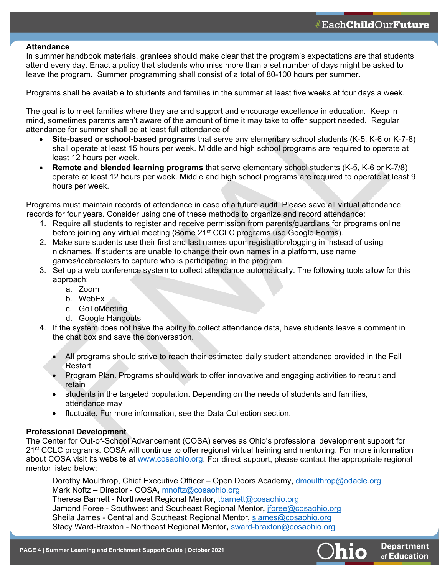#### **Attendance**

In summer handbook materials, grantees should make clear that the program's expectations are that students attend every day. Enact a policy that students who miss more than a set number of days might be asked to leave the program. Summer programming shall consist of a total of 80-100 hours per summer.

Programs shall be available to students and families in the summer at least five weeks at four days a week.

The goal is to meet families where they are and support and encourage excellence in education. Keep in mind, sometimes parents aren't aware of the amount of time it may take to offer support needed. Regular attendance for summer shall be at least full attendance of

- **Site-based or school-based programs** that serve any elementary school students (K-5, K-6 or K-7-8) shall operate at least 15 hours per week. Middle and high school programs are required to operate at least 12 hours per week.
- **Remote and blended learning programs** that serve elementary school students (K-5, K-6 or K-7/8) operate at least 12 hours per week. Middle and high school programs are required to operate at least 9 hours per week.

Programs must maintain records of attendance in case of a future audit. Please save all virtual attendance records for four years. Consider using one of these methods to organize and record attendance:

- 1. Require all students to register and receive permission from parents/guardians for programs online before joining any virtual meeting (Some 21st CCLC programs use [Google Forms\)](https://www.google.com/forms/about/).
- 2. Make sure students use their first and last names upon registration/logging in instead of using nicknames. If students are unable to change their own names in a platform, use name games/icebreakers to capture who is participating in the program.
- 3. Set up a web conference system to collect attendance automatically. The following tools allow for this approach:
	- a. [Zoom](https://support.zoom.us/hc/en-us/articles/216378603-Generating-Meeting-Reports-for-Registration-and-Polling)
	- b. [WebEx](https://help.webex.com/en-us/nhfuodx/View-Reports-for-Your-Cisco-Webex-Site)
	- c. [GoToMeeting](https://support.goto.com/webinar/help/attendee-report-g2w050002)
	- d. [Google Hangouts](https://support.google.com/a/answer/9186729?hl=en)
- 4. If the system does not have the ability to collect attendance data, have students leave a comment in the chat box and save the conversation.
	- All programs should strive to reach their estimated daily student attendance provided in the Fall Restart
	- Program Plan. Programs should work to offer innovative and engaging activities to recruit and retain
	- students in the targeted population. Depending on the needs of students and families, attendance may
	- fluctuate. For more information, see the Data Collection section.

# **Professional Development**

The Center for Out-of-School Advancement (COSA) serves as Ohio's professional development support for 21st CCLC programs. COSA will continue to offer regional virtual training and mentoring. For more information about COSA visit its website at [www.cosaohio.org.](http://www.cosaohio.org/) For direct support, please contact the appropriate regional mentor listed below:

Dorothy Moulthrop, Chief Executive Officer – Open Doors Academy, [dmoulthrop@odacle.org](mailto:dmoulthrop@odacle.org) Mark Noftz – Director - COSA**,** [mnoftz@cosaohio.org](mailto:mnoftz@cosaohio.org) Theresa Barnett - Northwest Regional Mentor**,** [tbarnett@cosaohio.org](mailto:tbarnett@cosaohio.org)

Jamond Foree - Southwest and Southeast Regional Mentor**,** [jforee@cosaohio.org](mailto:jforee@cosaohio.org) Sheila James - Central and Southeast Regional Mentor**,** [sjames@cosaohio.org](mailto:sjames@cosaohio.org) Stacy Ward-Braxton - Northeast Regional Mentor**,** [sward-braxton@cosaohio.org](mailto:sward-braxton@cosaohio.org)





**Department** of Education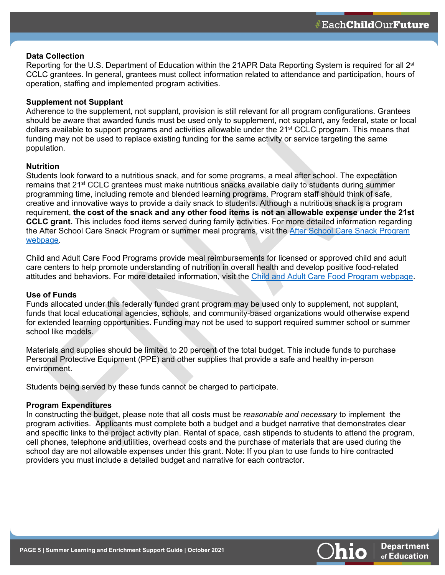#### **Data Collection**

Reporting for the U.S. Department of Education within the 21APR Data Reporting System is required for all 2<sup>st</sup> CCLC grantees. In general, grantees must collect information related to attendance and participation, hours of operation, staffing and implemented program activities.

## **Supplement not Supplant**

Adherence to the supplement, not supplant, provision is still relevant for all program configurations. Grantees should be aware that awarded funds must be used only to supplement, not supplant, any federal, state or local dollars available to support programs and activities allowable under the 21<sup>st</sup> CCLC program. This means that funding may not be used to replace existing funding for the same activity or service targeting the same population.

#### **Nutrition**

Students look forward to a nutritious snack, and for some programs, a meal after school. The expectation remains that 21st CCLC grantees must make nutritious snacks available daily to students during summer programming time, including remote and blended learning programs. Program staff should think of safe, creative and innovative ways to provide a daily snack to students. Although a nutritious snack is a program requirement, **the cost of the snack and any other food items is not an allowable expense under the 21st CCLC grant.** This includes food items served during family activities. For more detailed information regarding the After School Care Snack Program or summer meal programs, visit the [After School Care Snack Program](http://education.ohio.gov/Topics/Student-Supports/Food-and-Nutrition/National-School-Lunch-Program/The-After-School-Care-Snack-Program)  [webpage.](http://education.ohio.gov/Topics/Student-Supports/Food-and-Nutrition/National-School-Lunch-Program/The-After-School-Care-Snack-Program)

Child and Adult Care Food Programs provide meal reimbursements for licensed or approved child and adult care centers to help promote understanding of nutrition in overall health and develop positive food-related attitudes and behaviors. For more detailed information, visit the [Child and Adult Care Food Program](http://education.ohio.gov/Topics/Other-Resources/Food-and-Nutrition/Child-and-Adult-Care-Food-Program-CACFP) webpage.

#### **Use of Funds**

Funds allocated under this federally funded grant program may be used only to supplement, not supplant, funds that local educational agencies, schools, and community-based organizations would otherwise expend for extended learning opportunities. Funding may not be used to support required summer school or summer school like models.

Materials and supplies should be limited to 20 percent of the total budget. This include funds to purchase Personal Protective Equipment (PPE) and other supplies that provide a safe and healthy in-person environment.

Students being served by these funds cannot be charged to participate.

#### **Program Expenditures**

In constructing the budget, please note that all costs must be *reasonable and necessary* to implement the program activities. Applicants must complete both a budget and a budget narrative that demonstrates clear and specific links to the project activity plan. Rental of space, cash stipends to students to attend the program, cell phones, telephone and utilities, overhead costs and the purchase of materials that are used during the school day are not allowable expenses under this grant. Note: If you plan to use funds to hire contracted providers you must include a detailed budget and narrative for each contractor.



**Department** of Education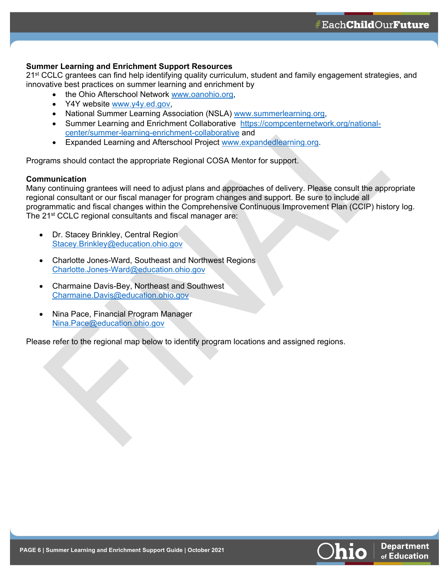# **Summer Learning and Enrichment Support Resources**

21<sup>st</sup> CCLC grantees can find help identifying quality curriculum, student and family engagement strategies, and innovative best practices on summer learning and enrichment by

- the Ohio Afterschool Network www.oanohio.org.
- Y4Y website [www.y4y.ed.gov,](http://www.y4y.ed.gov/)
- National Summer Learning Association (NSLA) [www.summerlearning.org,](http://www.summerlearning.org/)
- Summer Learning and Enrichment Collaborative [https://compcenternetwork.org/national](https://compcenternetwork.org/national-center/summer-learning-enrichment-collaborative)[center/summer-learning-enrichment-collaborative](https://compcenternetwork.org/national-center/summer-learning-enrichment-collaborative) and
- Expanded Learning and Afterschool Project [www.expandedlearning.org.](http://www.expandedlearning.org/)

Programs should contact the appropriate Regional COSA Mentor for support.

# **Communication**

Many continuing grantees will need to adjust plans and approaches of delivery. Please consult the appropriate regional consultant or our fiscal manager for program changes and support. Be sure to include all programmatic and fiscal changes within the Comprehensive Continuous Improvement Plan (CCIP) history log. The 21<sup>st</sup> CCLC regional consultants and fiscal manager are:

- Dr. Stacey Brinkley, Central Region [Stacey.Brinkley@education.ohio.gov](mailto:Shannon.Teague@education.ohio.gov)
- Charlotte Jones-Ward, Southeast and Northwest Regions [Charlotte.Jones-Ward@education.ohio.gov](mailto:Charlotte.Jones-Ward@education.ohio.gov)
- Charmaine Davis-Bey, Northeast and Southwest [Charmaine.Davis@education.ohio.gov](mailto:Charmaine.Davis@education.ohio.gov)
- Nina Pace, Financial Program Manager [Nina.Pace@education.ohio.gov](mailto:Nina.Pace@education.ohio.gov)

Please refer to the regional map below to identify program locations and assigned regions.

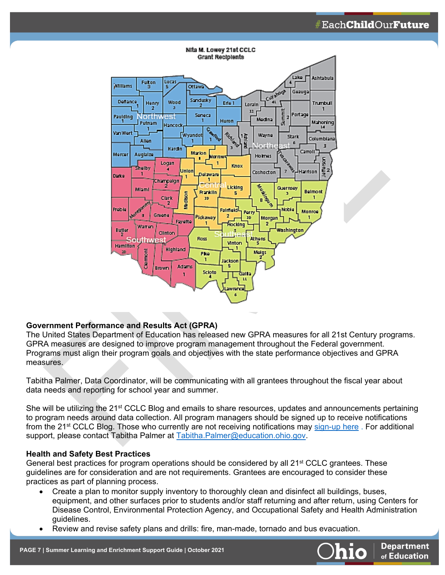

# **Government Performance and Results Act (GPRA)**

The United States Department of Education has released new GPRA measures for all 21st Century programs. GPRA measures are designed to improve program management throughout the Federal government. Programs must align their program goals and objectives with the state performance objectives and GPRA measures.

Tabitha Palmer, Data Coordinator, will be communicating with all grantees throughout the fiscal year about data needs and reporting for school year and summer.

She will be utilizing the 21<sup>st</sup> CCLC Blog and emails to share resources, updates and announcements pertaining to program needs around data collection. All program managers should be signed up to receive notifications from the 21st CCLC Blog. Those who currently are not receiving notifications may [sign-up here](https://21stcenturylearningcenters.wordpress.com/) . For additional support, please contact Tabitha Palmer at [Tabitha.Palmer@education.ohio.gov.](mailto:Tabitha.Palmer@education.ohio.gov)

# **Health and Safety Best Practices**

General best practices for program operations should be considered by all  $21<sup>st</sup>$  CCLC grantees. These guidelines are for consideration and are not requirements. Grantees are encouraged to consider these practices as part of planning process.

- Create a plan to monitor supply inventory to thoroughly clean and disinfect all buildings, buses, equipment, and other surfaces prior to students and/or staff returning and after return, using [Centers for](https://www.cdc.gov/coronavirus/2019-ncov/community/pdf/Reopening_America_Guidance.pdf)  [Disease Control,](https://www.cdc.gov/coronavirus/2019-ncov/community/pdf/Reopening_America_Guidance.pdf) [Environmental Protection Agency,](https://www.cdc.gov/coronavirus/2019-ncov/community/pdf/Reopening_America_Guidance.pdf) and [Occupational](https://www.osha.gov/Publications/OSHA3990.pdf) [Safety and Health Administration](https://www.osha.gov/Publications/OSHA3990.pdf) guidelines.
- Review and revise safety plans and drills: fire, man-made, tornado and bus evacuation.



**Department** of Education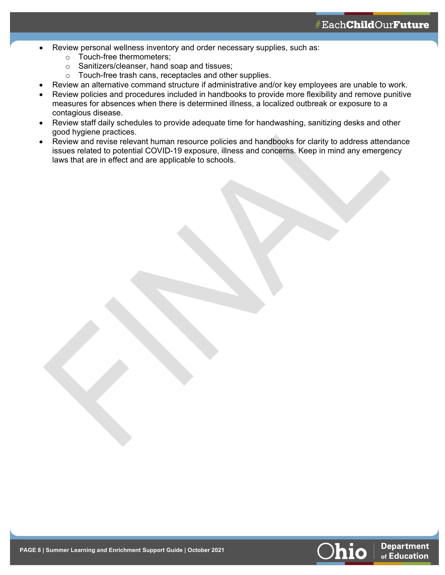- Review personal wellness inventory and order necessary supplies, such as:
	- o Touch-free thermometers;
	- o Sanitizers/cleanser, hand soap and tissues;
	- o Touch-free trash cans, receptacles and other supplies.
- Review an alternative command structure if administrative and/or key employees are unable to work.
- Review policies and procedures included in handbooks to provide more flexibility and remove punitive measures for absences when there is determined illness, a localized outbreak or exposure to a contagious disease.
- Review staff daily schedules to provide adequate time for handwashing, sanitizing desks and other good hygiene practices.
- Review and revise relevant human resource policies and handbooks for clarity to address attendance issues related to potential COVID-19 exposure, illness and concerns. Keep in mind any emergency laws that are in effect and are applicable to schools.